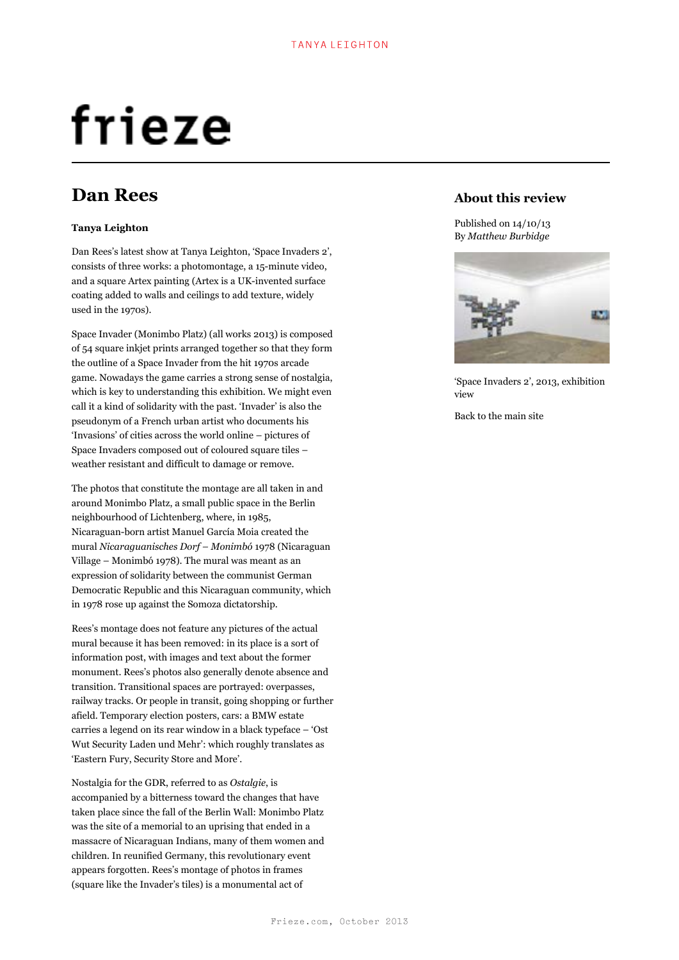# frieze

# **Dan Rees**

## **Tanya Leighton**

Dan Rees's latest show at Tanya Leighton, 'Space Invaders 2', consists of three works: a photomontage, a 15-minute video, and a square Artex painting (Artex is a UK-invented surface coating added to walls and ceilings to add texture, widely used in the 1970s).

Space Invader (Monimbo Platz) (all works 2013) is composed of 54 square inkjet prints arranged together so that they form the outline of a Space Invader from the hit 1970s arcade game. Nowadays the game carries a strong sense of nostalgia, which is key to understanding this exhibition. We might even call it a kind of solidarity with the past. 'Invader' is also the pseudonym of a French urban artist who documents his 'Invasions' of cities across the world online – pictures of Space Invaders composed out of coloured square tiles – weather resistant and difficult to damage or remove.

The photos that constitute the montage are all taken in and around Monimbo Platz, a small public space in the Berlin neighbourhood of Lichtenberg, where, in 1985, Nicaraguan-born artist Manuel García Moia created the mural *Nicaraguanisches Dorf – Monimbó* 1978 (Nicaraguan Village – Monimbó 1978). The mural was meant as an expression of solidarity between the communist German Democratic Republic and this Nicaraguan community, which in 1978 rose up against the Somoza dictatorship.

Rees's montage does not feature any pictures of the actual mural because it has been removed: in its place is a sort of information post, with images and text about the former monument. Rees's photos also generally denote absence and transition. Transitional spaces are portrayed: overpasses, railway tracks. Or people in transit, going shopping or further afield. Temporary election posters, cars: a BMW estate carries a legend on its rear window in a black typeface – 'Ost Wut Security Laden und Mehr': which roughly translates as 'Eastern Fury, Security Store and More'.

Nostalgia for the GDR, referred to as *Ostalgie*, is accompanied by a bitterness toward the changes that have taken place since the fall of the Berlin Wall: Monimbo Platz was the site of a memorial to an uprising that ended in a massacre of Nicaraguan Indians, many of them women and children. In reunified Germany, this revolutionary event appears forgotten. Rees's montage of photos in frames (square like the Invader's tiles) is a monumental act of

# **About this review**

Published on 14/10/13 By *Matthew Burbidge*



'Space Invaders 2', 2013, exhibition view

Back to the main site